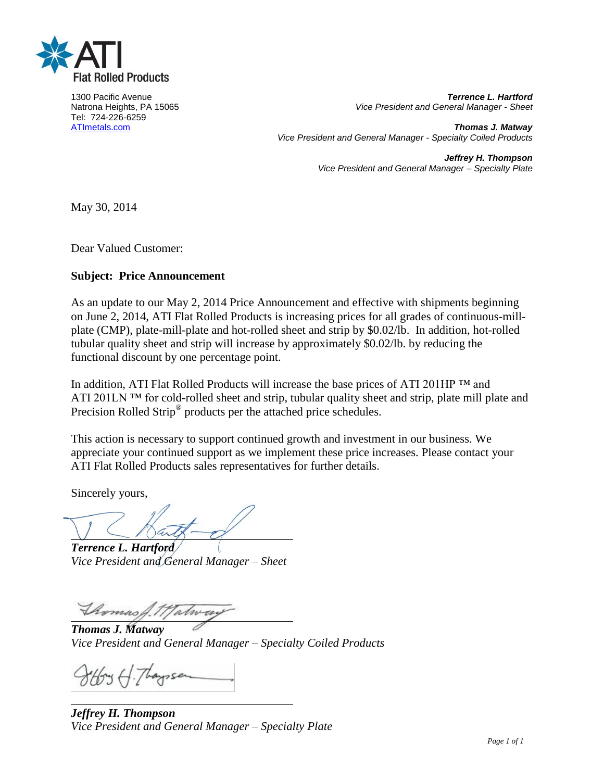

Tel: 724-226-6259

1300 Pacific Avenue *Terrence L. Hartford* **Vice President and General Manager - Sheet** 

[ATImetals.com](http://www.atimetals.com/) *Thomas J. Matway Vice President and General Manager - Specialty Coiled Products*

> *Jeffrey H. Thompson Vice President and General Manager – Specialty Plate*

May 30, 2014

Dear Valued Customer:

# **Subject: Price Announcement**

As an update to our May 2, 2014 Price Announcement and effective with shipments beginning on June 2, 2014, ATI Flat Rolled Products is increasing prices for all grades of continuous-millplate (CMP), plate-mill-plate and hot-rolled sheet and strip by \$0.02/lb. In addition, hot-rolled tubular quality sheet and strip will increase by approximately \$0.02/lb. by reducing the functional discount by one percentage point.

In addition, ATI Flat Rolled Products will increase the base prices of ATI 201HP ™ and ATI 201LN ™ for cold-rolled sheet and strip, tubular quality sheet and strip, plate mill plate and Precision Rolled Strip<sup>®</sup> products per the attached price schedules.

This action is necessary to support continued growth and investment in our business. We appreciate your continued support as we implement these price increases. Please contact your ATI Flat Rolled Products sales representatives for further details.

Sincerely yours,

*Terrence L. Hartford Vice President and General Manager – Sheet*

Thomas A. Malway

*Thomas J. Matway Vice President and General Manager – Specialty Coiled Products*

thory H. Thaysse

*Jeffrey H. Thompson Vice President and General Manager – Specialty Plate*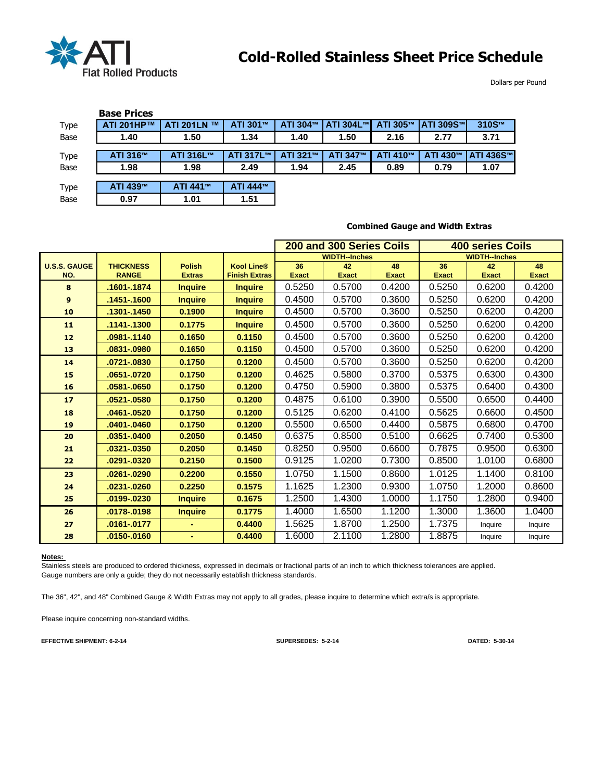

Dollars per Pound

|      | <b>Base Prices</b> |                               |           |          |                  |          |                   |                  |
|------|--------------------|-------------------------------|-----------|----------|------------------|----------|-------------------|------------------|
| Type | ATI 201HP™         | <b>ATI 201LN</b><br><b>TM</b> | ATI 301™  | ATI 304™ | <b>ATI 304L™</b> | ATI 305™ | <b>ATI 309S™I</b> | 310S™            |
| Base | 1.40               | 1.50                          | 1.34      | 1.40     | 1.50             | 2.16     | 2.77              | 3.71             |
|      |                    |                               |           |          |                  |          |                   |                  |
| Type | ATI 316™           | ATI 316L™                     | ATI 317L™ | ATI 321™ | ATI 347™         | ATI 410™ | ATI 430™          | <b>ATI 436S™</b> |
| Base | 1.98               | 1.98                          | 2.49      | 1.94     | 2.45             | 0.89     | 0.79              | 1.07             |
|      |                    |                               |           |          |                  |          |                   |                  |
| Type | ATI 439™           | ATI 441™                      | ATI 444™  |          |                  |          |                   |                  |
| Base | 0.97               | 1.01                          | 1.51      |          |                  |          |                   |                  |

|                     |                  |                |                      | 200 and 300 Series Coils |                      |              | 400 series Coils |                      |              |  |
|---------------------|------------------|----------------|----------------------|--------------------------|----------------------|--------------|------------------|----------------------|--------------|--|
|                     |                  |                |                      |                          | <b>WIDTH--Inches</b> |              |                  | <b>WIDTH--Inches</b> |              |  |
| <b>U.S.S. GAUGE</b> | <b>THICKNESS</b> | <b>Polish</b>  | <b>Kool Line®</b>    | 36                       | 42                   | 48           | 36               | 42                   | 48           |  |
| NO.                 | <b>RANGE</b>     | <b>Extras</b>  | <b>Finish Extras</b> | <b>Exact</b>             | <b>Exact</b>         | <b>Exact</b> | <b>Exact</b>     | <b>Exact</b>         | <b>Exact</b> |  |
| 8                   | .1601-.1874      | <b>Inquire</b> | <b>Inquire</b>       | 0.5250                   | 0.5700               | 0.4200       | 0.5250           | 0.6200               | 0.4200       |  |
| 9                   | .1451-.1600      | <b>Inquire</b> | <b>Inquire</b>       | 0.4500                   | 0.5700               | 0.3600       | 0.5250           | 0.6200               | 0.4200       |  |
| 10                  | .1301-.1450      | 0.1900         | <b>Inquire</b>       | 0.4500                   | 0.5700               | 0.3600       | 0.5250           | 0.6200               | 0.4200       |  |
| 11                  | 1141-.1300       | 0.1775         | <b>Inquire</b>       | 0.4500                   | 0.5700               | 0.3600       | 0.5250           | 0.6200               | 0.4200       |  |
| 12                  | .0981-.1140      | 0.1650         | 0.1150               | 0.4500                   | 0.5700               | 0.3600       | 0.5250           | 0.6200               | 0.4200       |  |
| 13                  | .0831-.0980      | 0.1650         | 0.1150               | 0.4500                   | 0.5700               | 0.3600       | 0.5250           | 0.6200               | 0.4200       |  |
| 14                  | .0721-.0830      | 0.1750         | 0.1200               | 0.4500                   | 0.5700               | 0.3600       | 0.5250           | 0.6200               | 0.4200       |  |
| 15                  | .0651-.0720      | 0.1750         | 0.1200               | 0.4625                   | 0.5800               | 0.3700       | 0.5375           | 0.6300               | 0.4300       |  |
| 16                  | .0581-.0650      | 0.1750         | 0.1200               | 0.4750                   | 0.5900               | 0.3800       | 0.5375           | 0.6400               | 0.4300       |  |
| 17                  | .0521-.0580      | 0.1750         | 0.1200               | 0.4875                   | 0.6100               | 0.3900       | 0.5500           | 0.6500               | 0.4400       |  |
| 18                  | .0461-.0520      | 0.1750         | 0.1200               | 0.5125                   | 0.6200               | 0.4100       | 0.5625           | 0.6600               | 0.4500       |  |
| 19                  | .0401-.0460      | 0.1750         | 0.1200               | 0.5500                   | 0.6500               | 0.4400       | 0.5875           | 0.6800               | 0.4700       |  |
| 20                  | .0351-.0400      | 0.2050         | 0.1450               | 0.6375                   | 0.8500               | 0.5100       | 0.6625           | 0.7400               | 0.5300       |  |
| 21                  | .0321-.0350      | 0.2050         | 0.1450               | 0.8250                   | 0.9500               | 0.6600       | 0.7875           | 0.9500               | 0.6300       |  |
| 22                  | .0291-.0320      | 0.2150         | 0.1500               | 0.9125                   | 1.0200               | 0.7300       | 0.8500           | 1.0100               | 0.6800       |  |
| 23                  | .0261-.0290      | 0.2200         | 0.1550               | 1.0750                   | 1.1500               | 0.8600       | 1.0125           | 1.1400               | 0.8100       |  |
| 24                  | .0231-.0260      | 0.2250         | 0.1575               | 1.1625                   | 1.2300               | 0.9300       | 1.0750           | 1.2000               | 0.8600       |  |
| 25                  | .0199-.0230      | <b>Inquire</b> | 0.1675               | 1.2500                   | 1.4300               | 1.0000       | 1.1750           | 1.2800               | 0.9400       |  |
| 26                  | .0178-.0198      | <b>Inquire</b> | 0.1775               | 1.4000                   | 1.6500               | 1.1200       | 1.3000           | 1.3600               | 1.0400       |  |
| 27                  | .0161-.0177      |                | 0.4400               | 1.5625                   | 1.8700               | 1.2500       | 1.7375           | Inquire              | Inquire      |  |
| 28                  | 0150-.0160       | ۰              | 0.4400               | 1.6000                   | 2.1100               | 1.2800       | 1.8875           | Inquire              | Inquire      |  |

#### **Combined Gauge and Width Extras**

**Notes:** 

Stainless steels are produced to ordered thickness, expressed in decimals or fractional parts of an inch to which thickness tolerances are applied. Gauge numbers are only a guide; they do not necessarily establish thickness standards.

The 36", 42", and 48" Combined Gauge & Width Extras may not apply to all grades, please inquire to determine which extra/s is appropriate.

Please inquire concerning non-standard widths.

**EFFECTIVE SHIPMENT: 6-2-14 SUPERSEDES: 5-2-14 DATED: 5-30-14**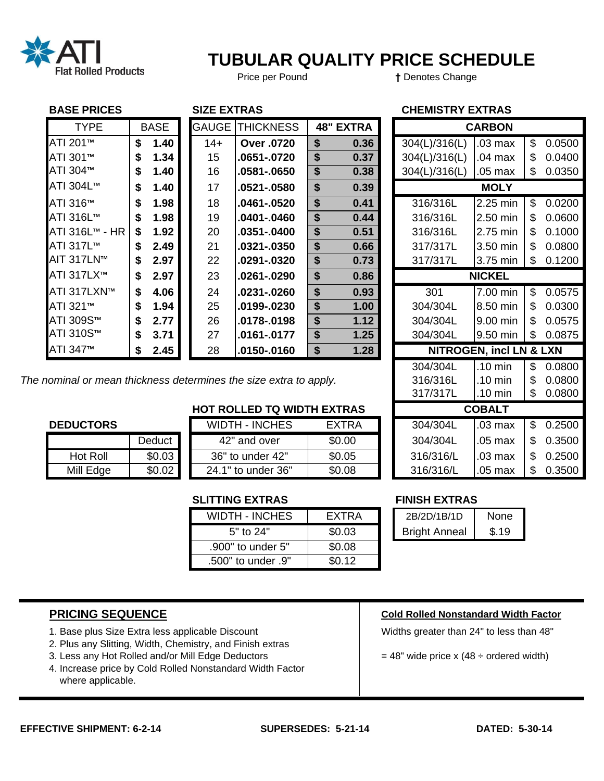

# **TUBULAR QUALITY PRICE SCHEDULE**

Price per Pound **†** Denotes Change

# **BASE PRICES** SIZE EXTRAS **SIZE EXTRAS CHEMISTRY EXTRAS**

| <b>TYPE</b>            |    | <b>BASE</b> | <b>GAUGE</b> | <b>THICKNESS</b> | <b>48" EXTRA</b> |               | <b>CARBON</b>                      |    |        |
|------------------------|----|-------------|--------------|------------------|------------------|---------------|------------------------------------|----|--------|
| ATI 201 <sup>™</sup>   | \$ | 1.40        | $14+$        | Over .0720       | \$<br>0.36       | 304(L)/316(L) | $.03$ max                          | \$ | 0.0500 |
| ATI 301™               | S  | 1.34        | 15           | .0651-.0720      | \$<br>0.37       | 304(L)/316(L) | $.04$ max                          | \$ | 0.0400 |
| ATI 304™               | S  | 1.40        | 16           | .0581-.0650      | \$<br>0.38       | 304(L)/316(L) | $.05$ max                          | \$ | 0.0350 |
| ATI 304L™              | S  | 1.40        | 17           | .0521-.0580      | \$<br>0.39       |               | <b>MOLY</b>                        |    |        |
| ATI 316™               | S  | 1.98        | 18           | $.0461 - .0520$  | \$<br>0.41       | 316/316L      | 2.25 min                           | \$ | 0.0200 |
| ATI 316L™              |    | 1.98        | 19           | .0401-.0460      | \$<br>0.44       | 316/316L      | 2.50 min                           | \$ | 0.0600 |
| <b>ATI 316L™ - HR</b>  | \$ | 1.92        | 20           | .0351-.0400      | \$<br>0.51       | 316/316L      | 2.75 min                           | S  | 0.1000 |
| ATI 317L™              | S  | 2.49        | 21           | .0321-.0350      | \$<br>0.66       | 317/317L      | 3.50 min                           | \$ | 0.0800 |
| AIT 317LN™             | S  | 2.97        | 22           | .0291-.0320      | \$<br>0.73       | 317/317L      | 3.75 min                           | \$ | 0.1200 |
| ATI 317LX <sup>™</sup> | S. | 2.97        | 23           | .0261-.0290      | \$<br>0.86       |               | <b>NICKEL</b>                      |    |        |
| ATI 317LXN™            | S  | 4.06        | 24           | .0231-.0260      | \$<br>0.93       | 301           | 7.00 min                           | \$ | 0.0575 |
| ATI 321™               | S  | 1.94        | 25           | .0199-.0230      | \$<br>1.00       | 304/304L      | 8.50 min                           | \$ | 0.0300 |
| ATI 309S™              |    | 2.77        | 26           | .0178-.0198      | \$<br>1.12       | 304/304L      | 9.00 min                           | \$ | 0.0575 |
| ATI 310S™              | S  | 3.71        | 27           | .0161-.0177      | \$<br>1.25       | 304/304L      | 9.50 min                           | \$ | 0.0875 |
| ATI 347 <sup>™</sup>   |    | 2.45        | 28           | .0150-.0160      | \$<br>1.28       |               | <b>NITROGEN, incl LN &amp; LXN</b> |    |        |

| <b>TYPE</b>        | <b>BASE</b> | <b>GAUGE</b> | <b>THICKNESS</b>                                          |        | <b>48" EXTRA</b> |  |               | <b>CARBON</b>                      |              |
|--------------------|-------------|--------------|-----------------------------------------------------------|--------|------------------|--|---------------|------------------------------------|--------------|
| 201™               | \$<br>1.40  | $14+$        | <b>Over .0720</b>                                         | \$     | 0.36             |  | 304(L)/316(L) | .03 <sub>max</sub>                 | \$<br>0.0500 |
| 301™               | \$<br>1.34  | 15           | 0651-.0720                                                | \$     | 0.37             |  | 304(L)/316(L) | .04 max                            | \$<br>0.0400 |
| 304™               | \$<br>1.40  | 16           | .0581-.0650                                               | \$     | 0.38             |  | 304(L)/316(L) | .05 max                            | \$<br>0.0350 |
| 304L™              | \$<br>1.40  | 17           | .0521-.0580                                               | \$     | 0.39             |  |               | <b>MOLY</b>                        |              |
| 316™               | \$<br>1.98  | 18           | .0461-.0520                                               | \$     | 0.41             |  | 316/316L      | 2.25 min                           | \$<br>0.0200 |
| 316L™              | \$<br>1.98  | 19           | 0401-.0460                                                | \$     | 0.44             |  | 316/316L      | 2.50 min                           | \$<br>0.0600 |
| 316L™ - HR         | \$<br>1.92  | 20           | .0351-.0400                                               | \$     | 0.51             |  | 316/316L      | 2.75 min                           | \$<br>0.1000 |
| 317L™              | \$<br>2.49  | 21           | .0321-.0350                                               | \$     | 0.66             |  | 317/317L      | 3.50 min                           | \$<br>0.0800 |
| 317LN™             | \$<br>2.97  | 22           | .0291-.0320                                               | \$     | 0.73             |  | 317/317L      | 3.75 min                           | \$<br>0.1200 |
| 317LX <sup>™</sup> | \$<br>2.97  | 23           | .0261-.0290                                               | \$     | 0.86             |  |               | <b>NICKEL</b>                      |              |
| 317LXN™            | \$<br>4.06  | 24           | .0231-.0260                                               | \$     | 0.93             |  | 301           | 7.00 min                           | \$<br>0.0575 |
| 321™               | \$<br>1.94  | 25           | .0199-.0230                                               | \$     | 1.00             |  | 304/304L      | 8.50 min                           | \$<br>0.0300 |
| 309S™              | \$<br>2.77  | 26           | .0178-.0198                                               | \$     | 1.12             |  | 304/304L      | 9.00 min                           | \$<br>0.0575 |
| 310S™              | \$<br>3.71  | 27           | .0161-.0177                                               | \$     | 1.25             |  | 304/304L      | 9.50 min                           | \$<br>0.0875 |
| 347™               | \$<br>2.45  | 28           | .0150-.0160                                               | \$     | 1.28             |  |               | <b>NITROGEN, incl LN &amp; LXN</b> |              |
|                    |             |              |                                                           |        |                  |  | 304/304L      | .10 min                            | \$<br>0.0800 |
|                    |             |              | nal or mean thickness determines the size extra to apply. |        |                  |  | 316/316L      | .10 min                            | \$<br>0.0800 |
|                    |             |              |                                                           |        |                  |  | 317/317L      | .10 min                            | \$<br>0.0800 |
|                    |             |              | <b>HOT ROLLED TQ WIDTH EXTRAS</b>                         |        |                  |  |               | <b>COBALT</b>                      |              |
| <b>DUCTORS</b>     |             |              | <b>WIDTH - INCHES</b>                                     |        | <b>EXTRA</b>     |  | 304/304L      | .03 <sub>max</sub>                 | \$<br>0.2500 |
|                    | Deduct      |              | 42" and over                                              |        | \$0.00           |  | 304/304L      | .05 max                            | \$<br>0.3500 |
| <b>Hot Roll</b>    | \$0.03      |              | 36" to under 42"                                          | \$0.05 |                  |  | 316/316/L     | .03 max                            | \$<br>0.2500 |
| Mill Edge          | \$0.02      |              | 24.1" to under 36"                                        |        | \$0.08           |  | 316/316/L     | .05 max                            | \$<br>0.3500 |

# The nominal or mean thickness determines the size extra to apply.

# **HOT ROLLED TQ WIDTH EXTRAS**

# **DEDUCTORS**

|           | Deduct |
|-----------|--------|
| Hot Roll  | \$0.03 |
| Mill Edge | \$0.02 |

| <b>WIDTH - INCHES</b> | FXTRA  |
|-----------------------|--------|
| 42" and over          | \$0.00 |
| 36" to under 42"      | \$0.05 |
| 24.1" to under 36"    | \$0.08 |

# **SLITTING EXTRAS FINISH EXTRAS**

| <b>WIDTH - INCHES</b> | EXTRA  |
|-----------------------|--------|
| 5" to 24"             | \$0.03 |
| .900" to under 5"     | \$0.08 |
| .500" to under .9"    | \$0.12 |

| EXTRA  | 2B/2D/1B/1D          | None  |  |  |
|--------|----------------------|-------|--|--|
| \$0.03 | <b>Bright Anneal</b> | \$.19 |  |  |

- 1. Base plus Size Extra less applicable Discount Vietnam Multimedian preater than 24" to less than 48"
- 2. Plus any Slitting, Width, Chemistry, and Finish extras
- 3. Less any Hot Rolled and/or Mill Edge Deductors  $\vert$  = 48" wide price x (48 ÷ ordered width)
- 4. Increase price by Cold Rolled Nonstandard Width Factor where applicable.

# **PRICING SEQUENCE Cold Rolled Nonstandard Width Factor**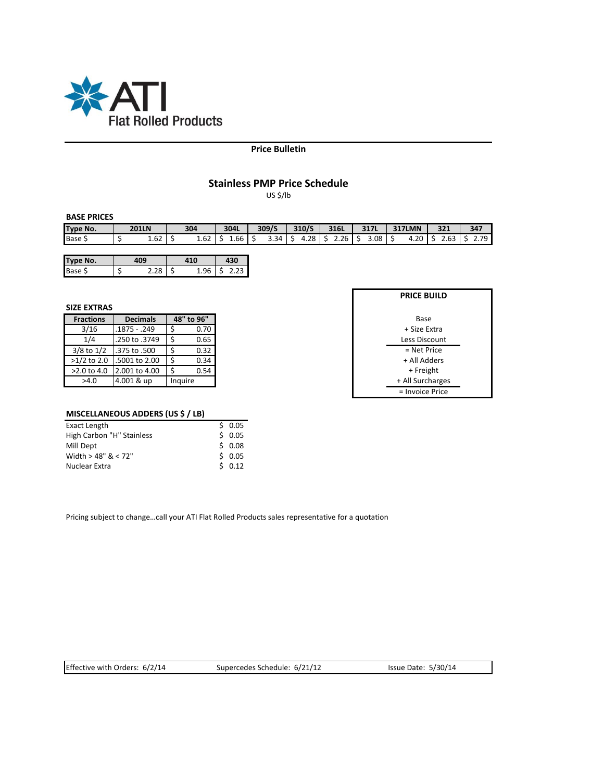

### **Price Bulletin**

# **Stainless PMP Price Schedule**

US \$/lb

# **BASE PRICES**

| <b>Type</b><br>No. | <b>201LN</b>   | 304  | 304L             | 309/S |   | 310/S |     | 316L           |   | 2171<br><b>31/L</b> |     | <b>317LMN</b> |   | 321               | 347     |
|--------------------|----------------|------|------------------|-------|---|-------|-----|----------------|---|---------------------|-----|---------------|---|-------------------|---------|
| Base S             | $\sim$<br>1.62 | 1.62 | $\sim$<br>⊥.bb ' | 3.34  | - | 28ء،  | $-$ | $\sim$<br>2.Zb | - | 3.08                | $-$ | 4.20          | - | $\sim$<br>$-0.03$ | 70<br>. |

| <b>Type No.</b> |  |   |  |  |  |
|-----------------|--|---|--|--|--|
| Base            |  | - |  |  |  |

#### **SIZE EXTRAS**

| <b>Fractions</b> | <b>Decimals</b> | 48" to 96" |  |  |  |
|------------------|-----------------|------------|--|--|--|
| 3/16             | .1875 - .249    | Ś<br>0.70  |  |  |  |
| 1/4              | .250 to .3749   | 0.65       |  |  |  |
| $3/8$ to $1/2$   | .375 to .500    | 0.32       |  |  |  |
| $>1/2$ to 2.0    | .5001 to 2.00   | 0.34       |  |  |  |
| >2.0 to 4.0      | 2.001 to 4.00   | 0.54       |  |  |  |
| >4.0             | 4.001 & up      | Inquire    |  |  |  |

| <b>PRICE BUILD</b> |  |  |  |  |  |  |  |
|--------------------|--|--|--|--|--|--|--|
|                    |  |  |  |  |  |  |  |
| Base               |  |  |  |  |  |  |  |
| + Size Extra       |  |  |  |  |  |  |  |
| Less Discount      |  |  |  |  |  |  |  |
| = Net Price        |  |  |  |  |  |  |  |
| + All Adders       |  |  |  |  |  |  |  |
| + Freight          |  |  |  |  |  |  |  |
| + All Surcharges   |  |  |  |  |  |  |  |
| = Invoice Price    |  |  |  |  |  |  |  |

# **MISCELLANEOUS ADDERS (US \$ / LB)**

| Exact Length              | 50.05 |
|---------------------------|-------|
| High Carbon "H" Stainless | 50.05 |
| Mill Dept                 | 50.08 |
| Width $>$ 48" & < 72"     | 50.05 |
| Nuclear Extra             | 50.12 |

Pricing subject to change…call your ATI Flat Rolled Products sales representative for a quotation